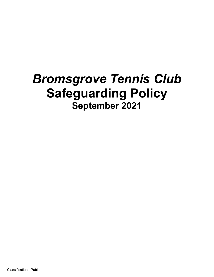# *Bromsgrove Tennis Club* **Safeguarding Policy September 2021**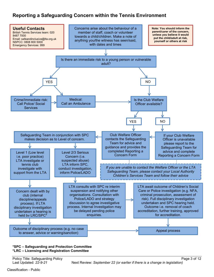## **Reporting a Safeguarding Concern within the Tennis Environment**



#### **\*SPC – Safeguarding and Protection Committee \*LRC – Licensing and Registration Committee**

Last Updated: *22-9-21* Next Review: *September 22 (or earlier if there is a change in legislation)*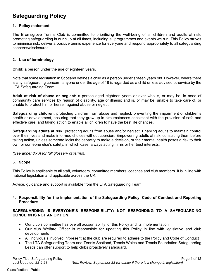# **Safeguarding Policy**

#### **1. Policy statement**

The Bromsgrove Tennis Club is committed to prioritising the well-being of all children and adults at risk, promoting safeguarding in our club at all times, including all programmes and events we run. This Policy strives to minimise risk, deliver a positive tennis experience for everyone and respond appropriately to all safeguarding concerns/disclosures.

#### **2. Use of terminology**

**Child:** a person under the age of eighteen years.

Note that some legislation in Scotland defines a child as a person under sixteen years old. However, where there is any safeguarding concern, anyone under the age of 18 is regarded as a child unless advised otherwise by the LTA Safeguarding Team .

**Adult at risk of abuse or neglect:** a person aged eighteen years or over who is, or may be, in need of community care services by reason of disability, age or illness; and is, or may be, unable to take care of, or unable to protect him or herself against abuse or neglect.

**Safeguarding children:** protecting children from abuse and neglect, preventing the impairment of children's health or development, ensuring that they grow up in circumstances consistent with the provision of safe and effective care, and taking action to enable all children to have the best life chances.

**Safeguarding adults at risk:** protecting adults from abuse and/or neglect. Enabling adults to maintain control over their lives and make informed choices without coercion. Empowering adults at risk, consulting them before taking action, unless someone lacks the capacity to make a decision, or their mental health poses a risk to their own or someone else's safety, in which case, always acting in his or her best interests.

*(See appendix A for full glossary of terms)*.

#### **3. Scope**

This Policy is applicable to all staff, volunteers, committee members, coaches and club members. It is in line with national legislation and applicable across the UK.

Advice, guidance and support is available from the LTA Safeguarding Team.

#### **4. Responsibility for the implementation of the Safeguarding Policy, Code of Conduct and Reporting Procedure**

#### **SAFEGUARDING IS EVERYONE'S RESPONSIBILITY: NOT RESPONDING TO A SAFEGUARDING CONCERN IS NOT AN OPTION.**

- Our club's committee has overall accountability for this Policy and its implementation
- Our club Welfare Officer is responsible for updating this Policy in line with legislative and club developments
- All individuals involved in/present at the club are required to adhere to the Policy and Code of Conduct
- The LTA Safeguarding Team and Tennis Scotland, Tennis Wales and Tennis Foundation Safeguarding Leads can offer support to help clubs proactively safeguard.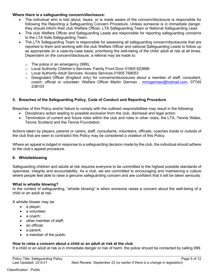#### **Where there is a safeguarding concern/disclosure:**

- The individual who is told about, hears, or is made aware of the concern/disclosure is responsible for following the Reporting a Safeguarding Concern Procedure. Unless someone is in immediate danger, they should inform their club Welfare Officer, LTA Safeguarding Team or National Safeguarding Lead.
- The club Welfare Officer and Safeguarding Leads are responsible for reporting safeguarding concerns to the LTA Safe Safeguarding Team.
- The LTA Safeguarding Team is responsible for assessing all safeguarding concern/disclosures that are reported to them and working with the club Welfare Officer and national Safeguarding Leads to follow up as appropriate on a case-by-case basis, prioritising the well-being of the child/ adult at risk at all times. Dependent on the concern/disclosure, a referral may be made to:
	- $\circ$  The police in an emergency (999);
	- o Local Authority Children's Services: Family Front Door 01905 822666
	- o Local Authority Adult Services: Access Services 01905 768053
	- $\circ$  Designated Officer (England only) for concerns/disclosures about a member of staff, consultant, coach, official or volunteer: Welfare Officer Martin German , mrmgerman@hotmail.com, 07745 238103

#### **5. Breaches of the Safeguarding Policy, Code of Conduct and Reporting Procedure**

Breaches of this Policy and/or failure to comply with the outlined responsibilities may result in the following:

- Disciplinary action leading to possible exclusion from the club, dismissal and legal action
- Termination of current and future roles within the club and roles in other clubs, the LTA, Tennis Wales, Tennis Scotland and the Tennis Foundation*.*

Actions taken by players, parents or carers, staff, consultants, volunteers, officials, coaches inside or outside of the club that are seen to contradict this Policy may be considered a violation of this Policy.

Where an appeal is lodged in response to a safeguarding decision made by the club, the individual should adhere to the club's appeal procedure.

#### **6. Whistleblowing**

Safeguarding children and adults at risk requires everyone to be committed to the highest possible standards of openness, integrity and accountability. As a club, we are committed to encouraging and maintaining a culture where people feel able to raise a genuine safeguarding concern and are confident that it will be taken seriously.

#### **What is whistle blowing?**

In the context of safeguarding, "whistle blowing" is when someone raises a concern about the well-being of a child or an adult at risk.

A whistle blower may be:

- a player;
- a volunteer:
- a coach:
- other member of staff;
- an official;
- a parent;
- a member of the public.

#### **How to raise a concern about a child or an adult at risk at the club**

If a child or an adult at risk is in immediate danger or risk of harm, the police should be contacted by calling 999.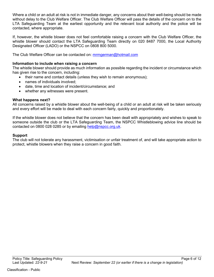Where a child or an adult at risk is not in immediate danger, any concerns about their well-being should be made without delay to the Club Welfare Officer. The Club Welfare Officer will pass the details of the concern on to the LTA Safeguarding Team at the earliest opportunity and the relevant local authority and the police will be contacted, where appropriate.

If, however, the whistle blower does not feel comfortable raising a concern with the Club Welfare Officer, the whistle blower should contact the LTA Safeguarding Team directly on 020 8487 7000, the Local Authority Designated Officer (LADO) or the NSPCC on 0808 800 5000.

The Club Welfare Officer can be contacted on: mrmgerman@hotmail.com

#### **Information to include when raising a concern**

The whistle blower should provide as much information as possible regarding the incident or circumstance which has given rise to the concern, including:

- their name and contact details (unless they wish to remain anonymous);
- names of individuals involved:
- date, time and location of incident/circumstance; and
- whether any witnesses were present.

#### **What happens next?**

All concerns raised by a whistle blower about the well-being of a child or an adult at risk will be taken seriously and every effort will be made to deal with each concern fairly, quickly and proportionately.

If the whistle blower does not believe that the concern has been dealt with appropriately and wishes to speak to someone outside the club or the LTA Safeguarding Team, the NSPCC Whistleblowing advice line should be contacted on 0800 028 0285 or by emailing help@nspcc.org.uk.

#### **Support**

The club will not tolerate any harassment, victimisation or unfair treatment of, and will take appropriate action to protect, whistle blowers when they raise a concern in good faith.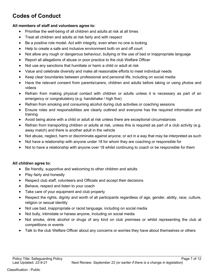# **Codes of Conduct**

#### **All members of staff and volunteers agree to:**

- Prioritise the well-being of all children and adults at risk at all times
- Treat all children and adults at risk fairly and with respect
- Be a positive role model. Act with integrity, even when no one is looking
- Help to create a safe and inclusive environment both on and off court
- Not allow any rough or dangerous behaviour, bullying or the use of bad or inappropriate language
- Report all allegations of abuse or poor practice to the club Welfare Officer
- Not use any sanctions that humiliate or harm a child or adult at risk
- Value and celebrate diversity and make all reasonable efforts to meet individual needs
- Keep clear boundaries between professional and personal life, including on social media
- Have the relevant consent from parents/carers, children and adults before taking or using photos and videos
- Refrain from making physical contact with children or adults unless it is necessary as part of an emergency or congratulatory (e.g. handshake / high five)
- Refrain from smoking and consuming alcohol during club activities or coaching sessions
- Ensure roles and responsibilities are clearly outlined and everyone has the required information and training
- Avoid being alone with a child or adult at risk unless there are exceptional circumstances
- Refrain from transporting children or adults at risk, unless this is required as part of a club activity (e.g. away match) and there is another adult in the vehicle
- Not abuse, neglect, harm or discriminate against anyone; or act in a way that may be interpreted as such
- Not have a relationship with anyone under 18 for whom they are coaching or responsible for
- Not to have a relationship with anyone over 18 whilst continuing to coach or be responsible for them

#### **All children agree to:**

- Be friendly, supportive and welcoming to other children and adults
- Play fairly and honestly
- Respect club staff, volunteers and Officials and accept their decisions
- Behave, respect and listen to your coach
- Take care of your equipment and club property
- Respect the rights, dignity and worth of all participants regardless of age, gender, ability, race, culture, religion or sexual identity
- Not use bad, inappropriate or racist language, including on social media
- Not bully, intimidate or harass anyone, including on social media
- Not smoke, drink alcohol or drugs of any kind on club premises or whilst representing the club at competitions or events
- Talk to the club Welfare Officer about any concerns or worries they have about themselves or others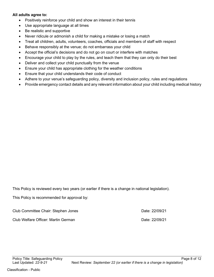#### **All adults agree to:**

- Positively reinforce your child and show an interest in their tennis
- Use appropriate language at all times
- Be realistic and supportive
- Never ridicule or admonish a child for making a mistake or losing a match
- Treat all children, adults, volunteers, coaches, officials and members of staff with respect
- Behave responsibly at the venue; do not embarrass your child
- Accept the official's decisions and do not go on court or interfere with matches
- Encourage your child to play by the rules, and teach them that they can only do their best
- Deliver and collect your child punctually from the venue
- Ensure your child has appropriate clothing for the weather conditions
- Ensure that your child understands their code of conduct
- Adhere to your venue's safeguarding policy, diversity and inclusion policy, rules and regulations
- Provide emergency contact details and any relevant information about your child including medical history

This Policy is reviewed every two years (or earlier if there is a change in national legislation).

This Policy is recommended for approval by:

| Club Committee Chair: Stephen Jones | Date: 22/09/21 |
|-------------------------------------|----------------|
| Club Welfare Officer: Martin German | Date: 22/09/21 |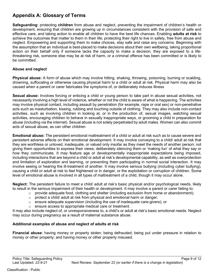# **Appendix A: Glossary of Terms**

**Safeguarding:** protecting **children** from abuse and neglect, preventing the impairment of children's health or development, ensuring that children are growing up in circumstances consistent with the provision of safe and effective care, and taking action to enable all children to have the best life chances. Enabling **adults at risk** to achieve the outcomes that matter to them in their life; protecting their right to live in safety, free from abuse and neglect. Empowering and supporting them to make choices, stay safe and raise any concerns. Beginning with the assumption that an individual is best-placed to make decisions about their own wellbeing, taking proportional action on their behalf only if someone lacks the capacity to make a decision, they are exposed to a lifethreatening risk, someone else may be at risk of harm, or a criminal offence has been committed or is likely to be committed.

#### **Abuse and neglect**

**Physical abuse:** A form of abuse which may involve hitting, shaking, throwing, poisoning, burning or scalding, drowning, suffocating or otherwise causing physical harm to a child or adult at risk. Physical harm may also be caused when a parent or carer fabricates the symptoms of, or deliberately induces illness

**Sexual abuse:** Involves forcing or enticing a child or young person to take part in abuse sexual activities, not necessarily involving a high level of violence, whether or not the child is aware of what is happening. The activities may involve physical contact, including assault by penetration (for example, rape or oral sex) or non-penetrative acts such as masturbation, kissing, rubbing and touching outside of clothing. They may also include non-contact activities, such as involving children in looking at, or in the production of, sexual images, watching sexual activities, encouraging children to behave in sexually inappropriate ways, or grooming a child in preparation for abuse (including via the internet). Sexual abuse is not solely perpetrated by adult males. Women can also commit acts of sexual abuse, as can other children

**Emotional abuse:** The persistent emotional maltreatment of a child or adult at risk such as to cause severe and persistent adverse effects on their emotional development. It may involve conveying to a child/ adult at risk that they are worthless or unloved, inadequate, or valued only insofar as they meet the needs of another person; not giving them opportunities to express their views; deliberately silencing them or 'making fun' of what they say or how they communicate. It may feature age or developmentally inappropriate expectations being imposed, including interactions that are beyond a child or adult at risk's developmental capability, as well as overprotection and limitation of exploration and learning, or preventing them participating in normal social interaction. It may involve seeing or hearing the ill-treatment of another. It may involve serious bullying (including cyber bullying), causing a child or adult at risk to feel frightened or in danger, or the exploitation or corruption of children. Some level of emotional abuse is involved in all types of maltreatment of a child, though it may occur alone.

**Neglect:** The persistent failure to meet a child/ adult at risk's basic physical and/or psychological needs, likely to result in the serious impairment of their health or development. It may involve a parent or carer failing to:

- $\circ$  provide adequate food, clothing and shelter (including exclusion from home or abandonment);
- o protect a child/ adult at risk from physical and emotional harm or danger;
- ensure adequate supervision (including the use of inadequate care-givers); or
- o ensure access to appropriate medical care or treatment.

It may also include neglect of, or unresponsiveness to, a child's or adult at risk's basic emotional needs. Neglect may occur during pregnancy as a result of maternal substance abuse.

#### **Additional examples of abuse and neglect of adults at risk**

**Financial abuse**: having money or property stolen; being defrauded; being put under pressure in relation to money or other property; and having money or other property misused.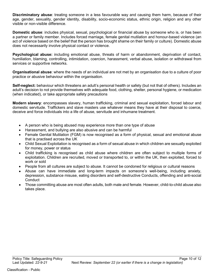**Discriminatory abuse**: treating someone in a less favourable way and causing them harm, because of their age, gender, sexuality, gender identity, disability, socio-economic status, ethnic origin, religion and any other visible or non-visible difference.

**Domestic abuse**: includes physical, sexual, psychological or financial abuse by someone who is, or has been a partner or family member. Includes forced marriage, female genital mutilation and honour-based violence (an act of violence based on the belief that the person has brought shame on their family or culture). Domestic abuse does not necessarily involve physical contact or violence.

**Psychological abuse:** including emotional abuse, threats of harm or abandonment, deprivation of contact, humiliation, blaming, controlling, intimidation, coercion, harassment, verbal abuse, isolation or withdrawal from services or supportive networks.

**Organisational abuse**: where the needs of an individual are not met by an organisation due to a culture of poor practice or abusive behaviour within the organisation.

**Self-neglect:** behaviour which threatens an adult's personal health or safety (but not that of others). Includes an adult's decision to not provide themselves with adequate food, clothing, shelter, personal hygiene, or medication (when indicated), or take appropriate safety precautions

**Modern slavery**: encompasses slavery, human trafficking, criminal and sexual exploitation, forced labour and domestic servitude. Traffickers and slave masters use whatever means they have at their disposal to coerce, deceive and force individuals into a life of abuse, servitude and inhumane treatment.

- A person who is being abused may experience more than one type of abuse
- Harassment, and bullying are also abusive and can be harmful
- Female Genital Mutilation (FGM) is now recognised as a form of physical, sexual and emotional abuse that is practised across the UK
- Child Sexual Exploitation is recognised as a form of sexual abuse in which children are sexually exploited for money, power or status
- Child trafficking is recognised as child abuse where children are often subject to multiple forms of exploitation. Children are recruited, moved or transported to, or within the UK, then exploited, forced to work or sold
- People from all cultures are subject to abuse. It cannot be condoned for religious or cultural reasons
- Abuse can have immediate and long-term impacts on someone's well-being, including anxiety, depression, substance misuse, eating disorders and self-destructive Conducts, offending and anti-social **Conduct**
- Those committing abuse are most often adults, both male and female. However, child-to-child abuse also takes place.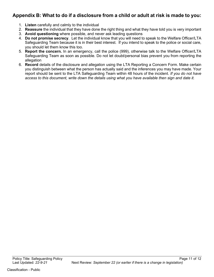## **Appendix B: What to do if a disclosure from a child or adult at risk is made to you:**

- 1. **Listen** carefully and calmly to the individual
- 2. **Reassure** the individual that they have done the right thing and what they have told you is very important
- 3. **Avoid questioning** where possible, and never ask leading questions
- 4. **Do not promise secrecy**. Let the individual know that you will need to speak to the Welfare Officer/LTA Safeguarding Team because it is in their best interest. If you intend to speak to the police or social care, you should let them know this too.
- 5. **Report the concern.** In an emergency, call the police (999), otherwise talk to the Welfare Officer/LTA Safeguarding Team as soon as possible. Do not let doubt/personal bias prevent you from reporting the allegation
- 6. **Record** details of the disclosure and allegation using the LTA Reporting a Concern Form*.* Make certain you distinguish between what the person has actually said and the inferences you may have made. Your report should be sent to the LTA Safeguarding Team within 48 hours of the incident. *If you do not have access to this document, write down the details using what you have available then sign and date it.*